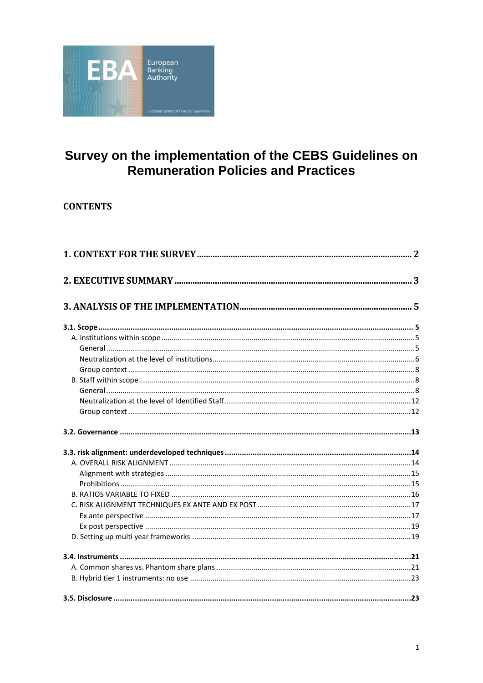

# Survey on the implementation of the CEBS Guidelines on<br>Remuneration Policies and Practices

## **CONTENTS**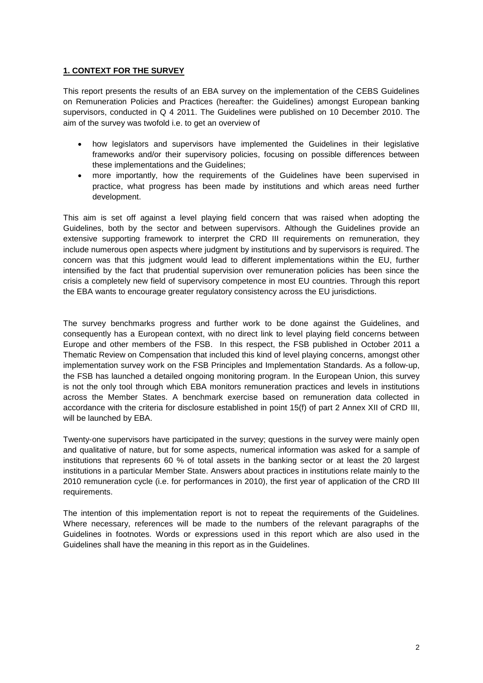### <span id="page-1-0"></span>**1. CONTEXT FOR THE SURVEY**

This report presents the results of an EBA survey on the implementation of the CEBS Guidelines on Remuneration Policies and Practices (hereafter: the Guidelines) amongst European banking supervisors, conducted in Q 4 2011. The Guidelines were published on 10 December 2010. The aim of the survey was twofold i.e. to get an overview of

- how legislators and supervisors have implemented the Guidelines in their legislative frameworks and/or their supervisory policies, focusing on possible differences between these implementations and the Guidelines;
- more importantly, how the requirements of the Guidelines have been supervised in practice, what progress has been made by institutions and which areas need further development.

This aim is set off against a level playing field concern that was raised when adopting the Guidelines, both by the sector and between supervisors. Although the Guidelines provide an extensive supporting framework to interpret the CRD III requirements on remuneration, they include numerous open aspects where judgment by institutions and by supervisors is required. The concern was that this judgment would lead to different implementations within the EU, further intensified by the fact that prudential supervision over remuneration policies has been since the crisis a completely new field of supervisory competence in most EU countries. Through this report the EBA wants to encourage greater regulatory consistency across the EU jurisdictions.

The survey benchmarks progress and further work to be done against the Guidelines, and consequently has a European context, with no direct link to level playing field concerns between Europe and other members of the FSB. In this respect, the FSB published in October 2011 a Thematic Review on Compensation that included this kind of level playing concerns, amongst other implementation survey work on the FSB Principles and Implementation Standards. As a follow-up, the FSB has launched a detailed ongoing monitoring program. In the European Union, this survey is not the only tool through which EBA monitors remuneration practices and levels in institutions across the Member States. A benchmark exercise based on remuneration data collected in accordance with the criteria for disclosure established in point 15(f) of part 2 Annex XII of CRD III, will be launched by EBA.

Twenty-one supervisors have participated in the survey; questions in the survey were mainly open and qualitative of nature, but for some aspects, numerical information was asked for a sample of institutions that represents 60 % of total assets in the banking sector or at least the 20 largest institutions in a particular Member State. Answers about practices in institutions relate mainly to the 2010 remuneration cycle (i.e. for performances in 2010), the first year of application of the CRD III requirements.

The intention of this implementation report is not to repeat the requirements of the Guidelines. Where necessary, references will be made to the numbers of the relevant paragraphs of the Guidelines in footnotes. Words or expressions used in this report which are also used in the Guidelines shall have the meaning in this report as in the Guidelines.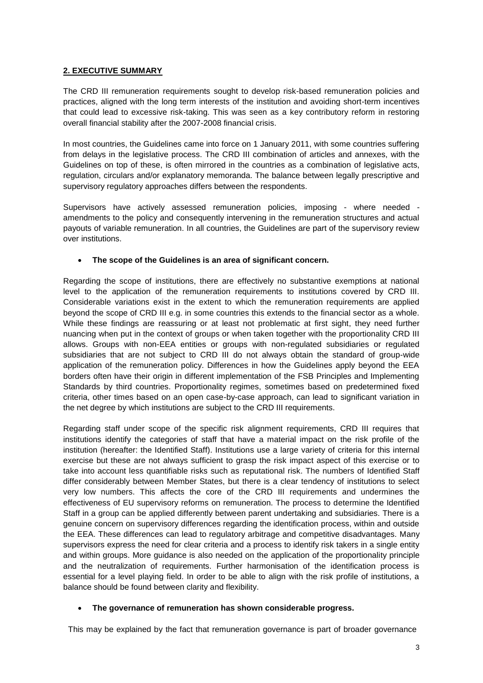## <span id="page-2-0"></span>**2. EXECUTIVE SUMMARY**

The CRD III remuneration requirements sought to develop risk-based remuneration policies and practices, aligned with the long term interests of the institution and avoiding short-term incentives that could lead to excessive risk-taking. This was seen as a key contributory reform in restoring overall financial stability after the 2007-2008 financial crisis.

In most countries, the Guidelines came into force on 1 January 2011, with some countries suffering from delays in the legislative process. The CRD III combination of articles and annexes, with the Guidelines on top of these, is often mirrored in the countries as a combination of legislative acts, regulation, circulars and/or explanatory memoranda. The balance between legally prescriptive and supervisory regulatory approaches differs between the respondents.

Supervisors have actively assessed remuneration policies, imposing - where needed amendments to the policy and consequently intervening in the remuneration structures and actual payouts of variable remuneration. In all countries, the Guidelines are part of the supervisory review over institutions.

## **The scope of the Guidelines is an area of significant concern.**

Regarding the scope of institutions, there are effectively no substantive exemptions at national level to the application of the remuneration requirements to institutions covered by CRD III. Considerable variations exist in the extent to which the remuneration requirements are applied beyond the scope of CRD III e.g. in some countries this extends to the financial sector as a whole. While these findings are reassuring or at least not problematic at first sight, they need further nuancing when put in the context of groups or when taken together with the proportionality CRD III allows. Groups with non-EEA entities or groups with non-regulated subsidiaries or regulated subsidiaries that are not subject to CRD III do not always obtain the standard of group-wide application of the remuneration policy. Differences in how the Guidelines apply beyond the EEA borders often have their origin in different implementation of the FSB Principles and Implementing Standards by third countries. Proportionality regimes, sometimes based on predetermined fixed criteria, other times based on an open case-by-case approach, can lead to significant variation in the net degree by which institutions are subject to the CRD III requirements.

Regarding staff under scope of the specific risk alignment requirements, CRD III requires that institutions identify the categories of staff that have a material impact on the risk profile of the institution (hereafter: the Identified Staff). Institutions use a large variety of criteria for this internal exercise but these are not always sufficient to grasp the risk impact aspect of this exercise or to take into account less quantifiable risks such as reputational risk. The numbers of Identified Staff differ considerably between Member States, but there is a clear tendency of institutions to select very low numbers. This affects the core of the CRD III requirements and undermines the effectiveness of EU supervisory reforms on remuneration. The process to determine the Identified Staff in a group can be applied differently between parent undertaking and subsidiaries. There is a genuine concern on supervisory differences regarding the identification process, within and outside the EEA. These differences can lead to regulatory arbitrage and competitive disadvantages. Many supervisors express the need for clear criteria and a process to identify risk takers in a single entity and within groups. More guidance is also needed on the application of the proportionality principle and the neutralization of requirements. Further harmonisation of the identification process is essential for a level playing field. In order to be able to align with the risk profile of institutions, a balance should be found between clarity and flexibility.

## **The governance of remuneration has shown considerable progress.**

This may be explained by the fact that remuneration governance is part of broader governance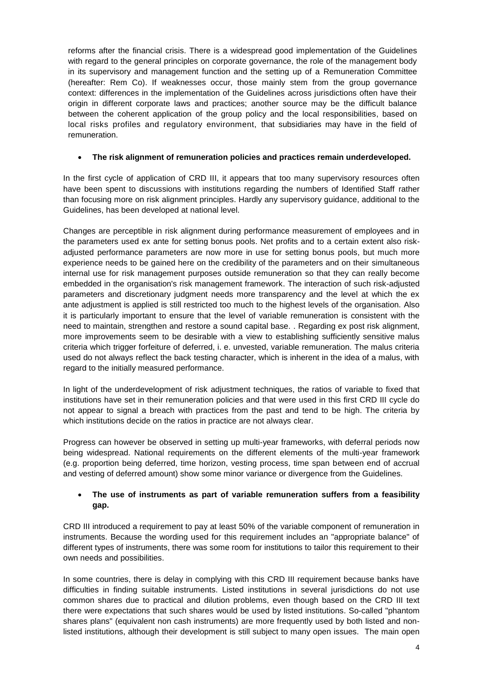reforms after the financial crisis. There is a widespread good implementation of the Guidelines with regard to the general principles on corporate governance, the role of the management body in its supervisory and management function and the setting up of a Remuneration Committee (hereafter: Rem Co). If weaknesses occur, those mainly stem from the group governance context: differences in the implementation of the Guidelines across jurisdictions often have their origin in different corporate laws and practices; another source may be the difficult balance between the coherent application of the group policy and the local responsibilities, based on local risks profiles and regulatory environment, that subsidiaries may have in the field of remuneration.

## **The risk alignment of remuneration policies and practices remain underdeveloped.**

In the first cycle of application of CRD III, it appears that too many supervisory resources often have been spent to discussions with institutions regarding the numbers of Identified Staff rather than focusing more on risk alignment principles. Hardly any supervisory guidance, additional to the Guidelines, has been developed at national level.

Changes are perceptible in risk alignment during performance measurement of employees and in the parameters used ex ante for setting bonus pools. Net profits and to a certain extent also riskadjusted performance parameters are now more in use for setting bonus pools, but much more experience needs to be gained here on the credibility of the parameters and on their simultaneous internal use for risk management purposes outside remuneration so that they can really become embedded in the organisation's risk management framework. The interaction of such risk-adjusted parameters and discretionary judgment needs more transparency and the level at which the ex ante adjustment is applied is still restricted too much to the highest levels of the organisation. Also it is particularly important to ensure that the level of variable remuneration is consistent with the need to maintain, strengthen and restore a sound capital base. . Regarding ex post risk alignment, more improvements seem to be desirable with a view to establishing sufficiently sensitive malus criteria which trigger forfeiture of deferred, i. e. unvested, variable remuneration. The malus criteria used do not always reflect the back testing character, which is inherent in the idea of a malus, with regard to the initially measured performance.

In light of the underdevelopment of risk adjustment techniques, the ratios of variable to fixed that institutions have set in their remuneration policies and that were used in this first CRD III cycle do not appear to signal a breach with practices from the past and tend to be high. The criteria by which institutions decide on the ratios in practice are not always clear.

Progress can however be observed in setting up multi-year frameworks, with deferral periods now being widespread. National requirements on the different elements of the multi-year framework (e.g. proportion being deferred, time horizon, vesting process, time span between end of accrual and vesting of deferred amount) show some minor variance or divergence from the Guidelines.

## **The use of instruments as part of variable remuneration suffers from a feasibility gap.**

CRD III introduced a requirement to pay at least 50% of the variable component of remuneration in instruments. Because the wording used for this requirement includes an "appropriate balance" of different types of instruments, there was some room for institutions to tailor this requirement to their own needs and possibilities.

In some countries, there is delay in complying with this CRD III requirement because banks have difficulties in finding suitable instruments. Listed institutions in several jurisdictions do not use common shares due to practical and dilution problems, even though based on the CRD III text there were expectations that such shares would be used by listed institutions. So-called "phantom shares plans" (equivalent non cash instruments) are more frequently used by both listed and nonlisted institutions, although their development is still subject to many open issues. The main open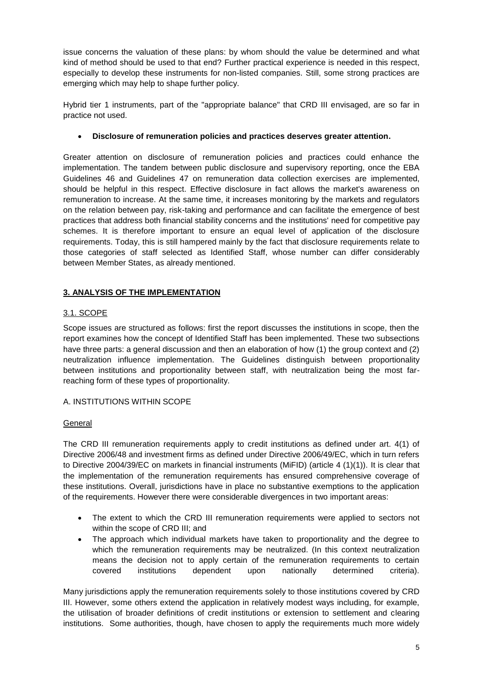issue concerns the valuation of these plans: by whom should the value be determined and what kind of method should be used to that end? Further practical experience is needed in this respect, especially to develop these instruments for non-listed companies. Still, some strong practices are emerging which may help to shape further policy.

Hybrid tier 1 instruments, part of the "appropriate balance" that CRD III envisaged, are so far in practice not used.

## **Disclosure of remuneration policies and practices deserves greater attention.**

Greater attention on disclosure of remuneration policies and practices could enhance the implementation. The tandem between public disclosure and supervisory reporting, once the EBA Guidelines 46 and Guidelines 47 on remuneration data collection exercises are implemented, should be helpful in this respect. Effective disclosure in fact allows the market's awareness on remuneration to increase. At the same time, it increases monitoring by the markets and regulators on the relation between pay, risk-taking and performance and can facilitate the emergence of best practices that address both financial stability concerns and the institutions' need for competitive pay schemes. It is therefore important to ensure an equal level of application of the disclosure requirements. Today, this is still hampered mainly by the fact that disclosure requirements relate to those categories of staff selected as Identified Staff, whose number can differ considerably between Member States, as already mentioned.

## <span id="page-4-0"></span>**3. ANALYSIS OF THE IMPLEMENTATION**

## <span id="page-4-1"></span>3.1. SCOPE

Scope issues are structured as follows: first the report discusses the institutions in scope, then the report examines how the concept of Identified Staff has been implemented. These two subsections have three parts: a general discussion and then an elaboration of how (1) the group context and (2) neutralization influence implementation. The Guidelines distinguish between proportionality between institutions and proportionality between staff, with neutralization being the most farreaching form of these types of proportionality.

#### <span id="page-4-2"></span>A. INSTITUTIONS WITHIN SCOPE

#### <span id="page-4-3"></span>General

The CRD III remuneration requirements apply to credit institutions as defined under art. 4(1) of Directive 2006/48 and investment firms as defined under Directive 2006/49/EC, which in turn refers to Directive 2004/39/EC on markets in financial instruments (MiFID) (article 4 (1)(1)). It is clear that the implementation of the remuneration requirements has ensured comprehensive coverage of these institutions. Overall, jurisdictions have in place no substantive exemptions to the application of the requirements. However there were considerable divergences in two important areas:

- The extent to which the CRD III remuneration requirements were applied to sectors not within the scope of CRD III; and
- The approach which individual markets have taken to proportionality and the degree to which the remuneration requirements may be neutralized. (In this context neutralization means the decision not to apply certain of the remuneration requirements to certain covered institutions dependent upon nationally determined criteria).

Many jurisdictions apply the remuneration requirements solely to those institutions covered by CRD III. However, some others extend the application in relatively modest ways including, for example, the utilisation of broader definitions of credit institutions or extension to settlement and clearing institutions. Some authorities, though, have chosen to apply the requirements much more widely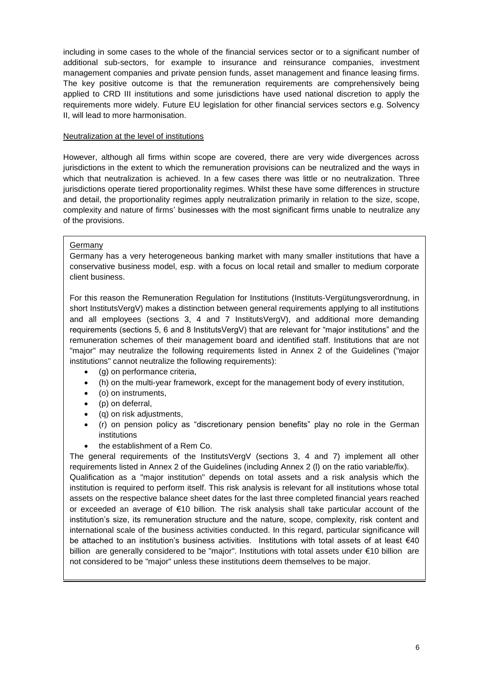including in some cases to the whole of the financial services sector or to a significant number of additional sub-sectors, for example to insurance and reinsurance companies, investment management companies and private pension funds, asset management and finance leasing firms. The key positive outcome is that the remuneration requirements are comprehensively being applied to CRD III institutions and some jurisdictions have used national discretion to apply the requirements more widely. Future EU legislation for other financial services sectors e.g. Solvency II, will lead to more harmonisation.

#### <span id="page-5-0"></span>Neutralization at the level of institutions

However, although all firms within scope are covered, there are very wide divergences across jurisdictions in the extent to which the remuneration provisions can be neutralized and the ways in which that neutralization is achieved. In a few cases there was little or no neutralization. Three jurisdictions operate tiered proportionality regimes. Whilst these have some differences in structure and detail, the proportionality regimes apply neutralization primarily in relation to the size, scope, complexity and nature of firms' businesses with the most significant firms unable to neutralize any of the provisions.

## Germany

Germany has a very heterogeneous banking market with many smaller institutions that have a conservative business model, esp. with a focus on local retail and smaller to medium corporate client business.

For this reason the Remuneration Regulation for Institutions (Instituts-Vergütungsverordnung, in short InstitutsVergV) makes a distinction between general requirements applying to all institutions and all employees (sections 3, 4 and 7 InstitutsVergV), and additional more demanding requirements (sections 5, 6 and 8 InstitutsVergV) that are relevant for "major institutions" and the remuneration schemes of their management board and identified staff. Institutions that are not "major" may neutralize the following requirements listed in Annex 2 of the Guidelines ("major institutions" cannot neutralize the following requirements):

- (g) on performance criteria,
- (h) on the multi-year framework, except for the management body of every institution,
- (o) on instruments,
- (p) on deferral,
- (q) on risk adjustments,
- (r) on pension policy as "discretionary pension benefits" play no role in the German institutions
- the establishment of a Rem Co.

The general requirements of the InstitutsVergV (sections 3, 4 and 7) implement all other requirements listed in Annex 2 of the Guidelines (including Annex 2 (l) on the ratio variable/fix). Qualification as a "major institution" depends on total assets and a risk analysis which the institution is required to perform itself. This risk analysis is relevant for all institutions whose total assets on the respective balance sheet dates for the last three completed financial years reached or exceeded an average of €10 billion. The risk analysis shall take particular account of the institution's size, its remuneration structure and the nature, scope, complexity, risk content and international scale of the business activities conducted. In this regard, particular significance will be attached to an institution's business activities. Institutions with total assets of at least €40 billion are generally considered to be "major". Institutions with total assets under €10 billion are not considered to be "major" unless these institutions deem themselves to be major.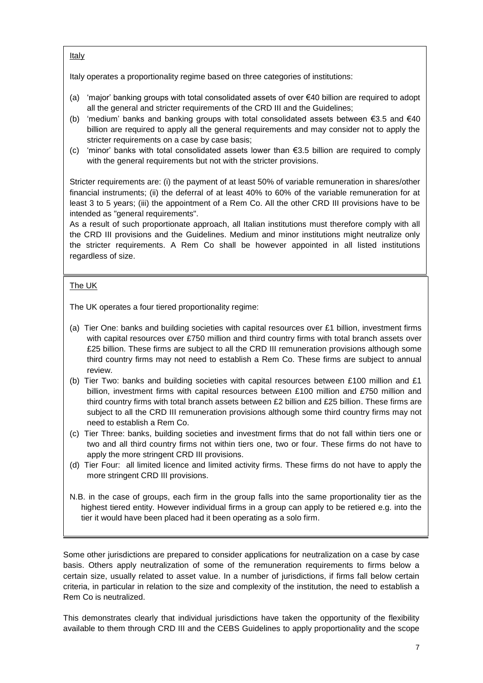#### Italy

Italy operates a proportionality regime based on three categories of institutions:

- (a) 'major' banking groups with total consolidated assets of over €40 billion are required to adopt all the general and stricter requirements of the CRD III and the Guidelines;
- (b) 'medium' banks and banking groups with total consolidated assets between €3.5 and €40 billion are required to apply all the general requirements and may consider not to apply the stricter requirements on a case by case basis;
- (c) 'minor' banks with total consolidated assets lower than  $\epsilon$ 3.5 billion are required to comply with the general requirements but not with the stricter provisions.

Stricter requirements are: (i) the payment of at least 50% of variable remuneration in shares/other financial instruments; (ii) the deferral of at least 40% to 60% of the variable remuneration for at least 3 to 5 years; (iii) the appointment of a Rem Co. All the other CRD III provisions have to be intended as "general requirements".

As a result of such proportionate approach, all Italian institutions must therefore comply with all the CRD III provisions and the Guidelines. Medium and minor institutions might neutralize only the stricter requirements. A Rem Co shall be however appointed in all listed institutions regardless of size.

## The UK

The UK operates a four tiered proportionality regime:

- (a) Tier One: banks and building societies with capital resources over £1 billion, investment firms with capital resources over £750 million and third country firms with total branch assets over £25 billion. These firms are subject to all the CRD III remuneration provisions although some third country firms may not need to establish a Rem Co. These firms are subject to annual review.
- (b) Tier Two: banks and building societies with capital resources between £100 million and £1 billion, investment firms with capital resources between £100 million and £750 million and third country firms with total branch assets between £2 billion and £25 billion. These firms are subject to all the CRD III remuneration provisions although some third country firms may not need to establish a Rem Co.
- (c) Tier Three: banks, building societies and investment firms that do not fall within tiers one or two and all third country firms not within tiers one, two or four. These firms do not have to apply the more stringent CRD III provisions.
- (d) Tier Four: all limited licence and limited activity firms. These firms do not have to apply the more stringent CRD III provisions.
- N.B. in the case of groups, each firm in the group falls into the same proportionality tier as the highest tiered entity. However individual firms in a group can apply to be retiered e.g. into the tier it would have been placed had it been operating as a solo firm.

Some other jurisdictions are prepared to consider applications for neutralization on a case by case basis. Others apply neutralization of some of the remuneration requirements to firms below a certain size, usually related to asset value. In a number of jurisdictions, if firms fall below certain criteria, in particular in relation to the size and complexity of the institution, the need to establish a Rem Co is neutralized.

This demonstrates clearly that individual jurisdictions have taken the opportunity of the flexibility available to them through CRD III and the CEBS Guidelines to apply proportionality and the scope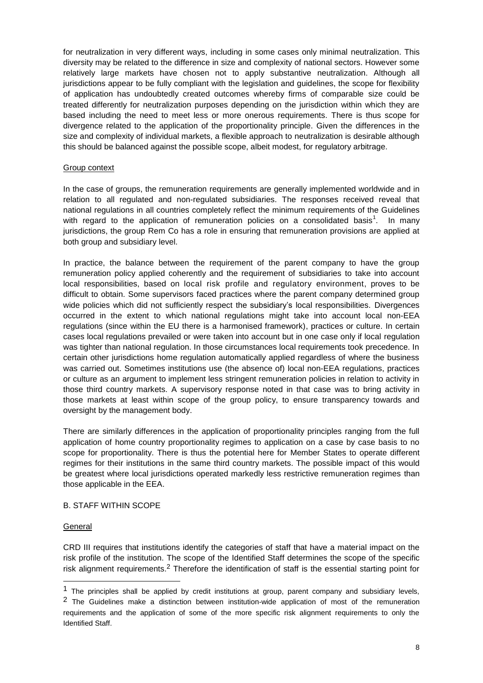for neutralization in very different ways, including in some cases only minimal neutralization. This diversity may be related to the difference in size and complexity of national sectors. However some relatively large markets have chosen not to apply substantive neutralization. Although all jurisdictions appear to be fully compliant with the legislation and guidelines, the scope for flexibility of application has undoubtedly created outcomes whereby firms of comparable size could be treated differently for neutralization purposes depending on the jurisdiction within which they are based including the need to meet less or more onerous requirements. There is thus scope for divergence related to the application of the proportionality principle. Given the differences in the size and complexity of individual markets, a flexible approach to neutralization is desirable although this should be balanced against the possible scope, albeit modest, for regulatory arbitrage.

#### <span id="page-7-0"></span>Group context

In the case of groups, the remuneration requirements are generally implemented worldwide and in relation to all regulated and non-regulated subsidiaries. The responses received reveal that national regulations in all countries completely reflect the minimum requirements of the Guidelines with regard to the application of remuneration policies on a consolidated basis<sup>1</sup>. In many jurisdictions, the group Rem Co has a role in ensuring that remuneration provisions are applied at both group and subsidiary level.

In practice, the balance between the requirement of the parent company to have the group remuneration policy applied coherently and the requirement of subsidiaries to take into account local responsibilities, based on local risk profile and regulatory environment, proves to be difficult to obtain. Some supervisors faced practices where the parent company determined group wide policies which did not sufficiently respect the subsidiary's local responsibilities. Divergences occurred in the extent to which national regulations might take into account local non-EEA regulations (since within the EU there is a harmonised framework), practices or culture. In certain cases local regulations prevailed or were taken into account but in one case only if local regulation was tighter than national regulation. In those circumstances local requirements took precedence. In certain other jurisdictions home regulation automatically applied regardless of where the business was carried out. Sometimes institutions use (the absence of) local non-EEA regulations, practices or culture as an argument to implement less stringent remuneration policies in relation to activity in those third country markets. A supervisory response noted in that case was to bring activity in those markets at least within scope of the group policy, to ensure transparency towards and oversight by the management body.

There are similarly differences in the application of proportionality principles ranging from the full application of home country proportionality regimes to application on a case by case basis to no scope for proportionality. There is thus the potential here for Member States to operate different regimes for their institutions in the same third country markets. The possible impact of this would be greatest where local jurisdictions operated markedly less restrictive remuneration regimes than those applicable in the EEA.

#### <span id="page-7-1"></span>B. STAFF WITHIN SCOPE

#### <span id="page-7-2"></span>**General**

-

CRD III requires that institutions identify the categories of staff that have a material impact on the risk profile of the institution. The scope of the Identified Staff determines the scope of the specific risk alignment requirements.<sup>2</sup> Therefore the identification of staff is the essential starting point for

<sup>1</sup> The principles shall be applied by credit institutions at group, parent company and subsidiary levels, <sup>2</sup> The Guidelines make a distinction between institution-wide application of most of the remuneration requirements and the application of some of the more specific risk alignment requirements to only the Identified Staff.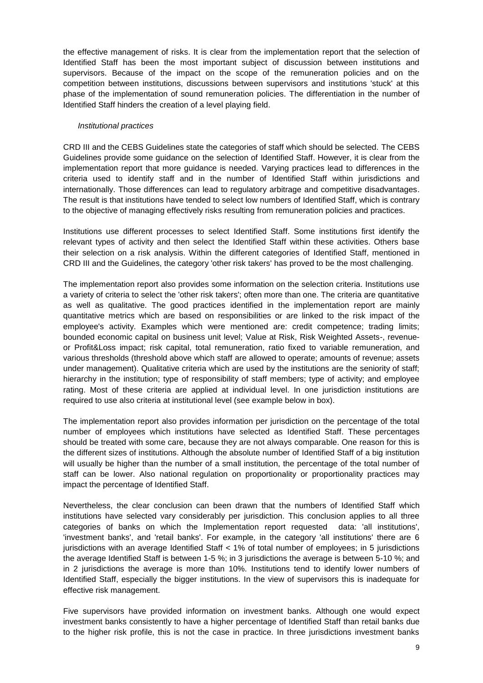the effective management of risks. It is clear from the implementation report that the selection of Identified Staff has been the most important subject of discussion between institutions and supervisors. Because of the impact on the scope of the remuneration policies and on the competition between institutions, discussions between supervisors and institutions 'stuck' at this phase of the implementation of sound remuneration policies. The differentiation in the number of Identified Staff hinders the creation of a level playing field.

#### *Institutional practices*

CRD III and the CEBS Guidelines state the categories of staff which should be selected. The CEBS Guidelines provide some guidance on the selection of Identified Staff. However, it is clear from the implementation report that more guidance is needed. Varying practices lead to differences in the criteria used to identify staff and in the number of Identified Staff within jurisdictions and internationally. Those differences can lead to regulatory arbitrage and competitive disadvantages. The result is that institutions have tended to select low numbers of Identified Staff, which is contrary to the objective of managing effectively risks resulting from remuneration policies and practices.

Institutions use different processes to select Identified Staff. Some institutions first identify the relevant types of activity and then select the Identified Staff within these activities. Others base their selection on a risk analysis. Within the different categories of Identified Staff, mentioned in CRD III and the Guidelines, the category 'other risk takers' has proved to be the most challenging.

The implementation report also provides some information on the selection criteria. Institutions use a variety of criteria to select the 'other risk takers'; often more than one. The criteria are quantitative as well as qualitative. The good practices identified in the implementation report are mainly quantitative metrics which are based on responsibilities or are linked to the risk impact of the employee's activity. Examples which were mentioned are: credit competence; trading limits; bounded economic capital on business unit level; Value at Risk, Risk Weighted Assets-, revenueor Profit&Loss impact; risk capital, total remuneration, ratio fixed to variable remuneration, and various thresholds (threshold above which staff are allowed to operate; amounts of revenue; assets under management). Qualitative criteria which are used by the institutions are the seniority of staff; hierarchy in the institution; type of responsibility of staff members; type of activity; and employee rating. Most of these criteria are applied at individual level. In one jurisdiction institutions are required to use also criteria at institutional level (see example below in box).

The implementation report also provides information per jurisdiction on the percentage of the total number of employees which institutions have selected as Identified Staff. These percentages should be treated with some care, because they are not always comparable. One reason for this is the different sizes of institutions. Although the absolute number of Identified Staff of a big institution will usually be higher than the number of a small institution, the percentage of the total number of staff can be lower. Also national regulation on proportionality or proportionality practices may impact the percentage of Identified Staff.

Nevertheless, the clear conclusion can been drawn that the numbers of Identified Staff which institutions have selected vary considerably per jurisdiction. This conclusion applies to all three categories of banks on which the Implementation report requested data: 'all institutions', 'investment banks', and 'retail banks'. For example, in the category 'all institutions' there are 6 jurisdictions with an average Identified Staff < 1% of total number of employees; in 5 jurisdictions the average Identified Staff is between 1-5 %; in 3 jurisdictions the average is between 5-10 %; and in 2 jurisdictions the average is more than 10%. Institutions tend to identify lower numbers of Identified Staff, especially the bigger institutions. In the view of supervisors this is inadequate for effective risk management.

Five supervisors have provided information on investment banks. Although one would expect investment banks consistently to have a higher percentage of Identified Staff than retail banks due to the higher risk profile, this is not the case in practice. In three jurisdictions investment banks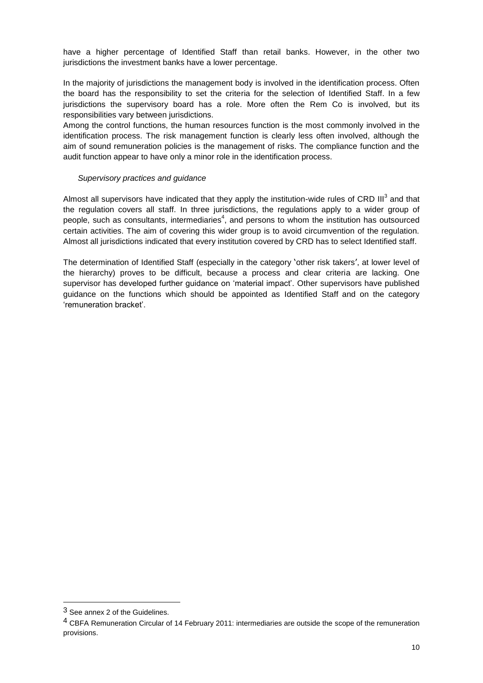have a higher percentage of Identified Staff than retail banks. However, in the other two jurisdictions the investment banks have a lower percentage.

In the majority of jurisdictions the management body is involved in the identification process. Often the board has the responsibility to set the criteria for the selection of Identified Staff. In a few jurisdictions the supervisory board has a role. More often the Rem Co is involved, but its responsibilities vary between jurisdictions.

Among the control functions, the human resources function is the most commonly involved in the identification process. The risk management function is clearly less often involved, although the aim of sound remuneration policies is the management of risks. The compliance function and the audit function appear to have only a minor role in the identification process.

#### *Supervisory practices and guidance*

Almost all supervisors have indicated that they apply the institution-wide rules of CRD III<sup>3</sup> and that the regulation covers all staff. In three jurisdictions, the regulations apply to a wider group of people, such as consultants, intermediaries<sup>4</sup>, and persons to whom the institution has outsourced certain activities. The aim of covering this wider group is to avoid circumvention of the regulation. Almost all jurisdictions indicated that every institution covered by CRD has to select Identified staff.

The determination of Identified Staff (especially in the category 'other risk takers', at lower level of the hierarchy) proves to be difficult, because a process and clear criteria are lacking. One supervisor has developed further guidance on 'material impact'. Other supervisors have published guidance on the functions which should be appointed as Identified Staff and on the category 'remuneration bracket'.

1

<sup>3</sup> See annex 2 of the Guidelines.

<sup>4</sup> CBFA Remuneration Circular of 14 February 2011: intermediaries are outside the scope of the remuneration provisions.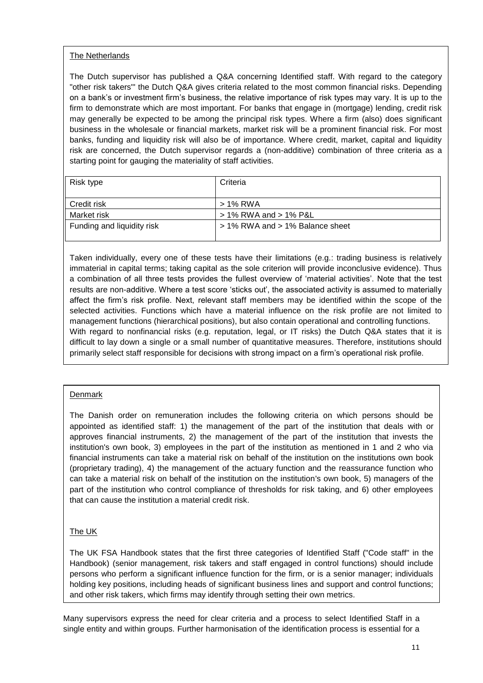## The Netherlands

The Dutch supervisor has published a Q&A concerning Identified staff. With regard to the category "other risk takers"' the Dutch Q&A gives criteria related to the most common financial risks. Depending on a bank's or investment firm's business, the relative importance of risk types may vary. It is up to the firm to demonstrate which are most important. For banks that engage in (mortgage) lending, credit risk may generally be expected to be among the principal risk types. Where a firm (also) does significant business in the wholesale or financial markets, market risk will be a prominent financial risk. For most banks, funding and liquidity risk will also be of importance. Where credit, market, capital and liquidity risk are concerned, the Dutch supervisor regards a (non-additive) combination of three criteria as a starting point for gauging the materiality of staff activities.

| Risk type                  | Criteria                        |
|----------------------------|---------------------------------|
| Credit risk                | > 1% RWA                        |
| Market risk                | > 1% RWA and > 1% P&L           |
| Funding and liquidity risk | > 1% RWA and > 1% Balance sheet |
|                            |                                 |

Taken individually, every one of these tests have their limitations (e.g.: trading business is relatively immaterial in capital terms; taking capital as the sole criterion will provide inconclusive evidence). Thus a combination of all three tests provides the fullest overview of 'material activities'. Note that the test results are non-additive. Where a test score 'sticks out', the associated activity is assumed to materially affect the firm's risk profile. Next, relevant staff members may be identified within the scope of the selected activities. Functions which have a material influence on the risk profile are not limited to management functions (hierarchical positions), but also contain operational and controlling functions. With regard to nonfinancial risks (e.g. reputation, legal, or IT risks) the Dutch Q&A states that it is difficult to lay down a single or a small number of quantitative measures. Therefore, institutions should primarily select staff responsible for decisions with strong impact on a firm's operational risk profile.

## Denmark

The Danish order on remuneration includes the following criteria on which persons should be appointed as identified staff: 1) the management of the part of the institution that deals with or approves financial instruments, 2) the management of the part of the institution that invests the institution's own book, 3) employees in the part of the institution as mentioned in 1 and 2 who via financial instruments can take a material risk on behalf of the institution on the institutions own book (proprietary trading), 4) the management of the actuary function and the reassurance function who can take a material risk on behalf of the institution on the institution's own book, 5) managers of the part of the institution who control compliance of thresholds for risk taking, and 6) other employees that can cause the institution a material credit risk.

## The UK

The UK FSA Handbook states that the first three categories of Identified Staff ("Code staff" in the Handbook) (senior management, risk takers and staff engaged in control functions) should include persons who perform a significant influence function for the firm, or is a senior manager; individuals holding key positions, including heads of significant business lines and support and control functions; and other risk takers, which firms may identify through setting their own metrics.

Many supervisors express the need for clear criteria and a process to select Identified Staff in a single entity and within groups. Further harmonisation of the identification process is essential for a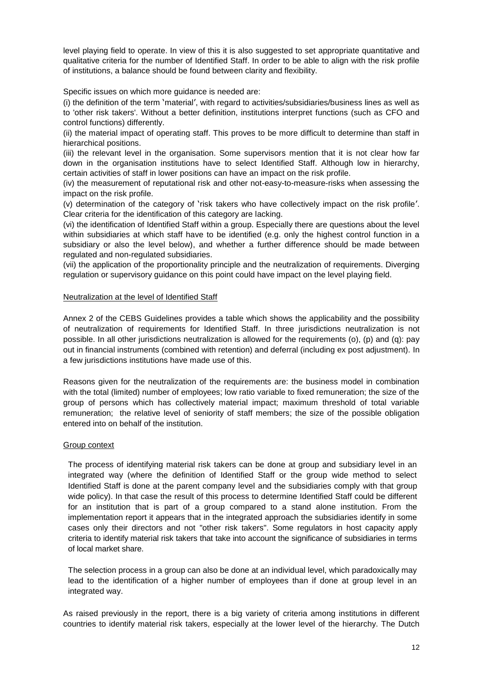level playing field to operate. In view of this it is also suggested to set appropriate quantitative and qualitative criteria for the number of Identified Staff. In order to be able to align with the risk profile of institutions, a balance should be found between clarity and flexibility.

Specific issues on which more guidance is needed are:

(i) the definition of the term 'material', with regard to activities/subsidiaries/business lines as well as to 'other risk takers'. Without a better definition, institutions interpret functions (such as CFO and control functions) differently.

(ii) the material impact of operating staff. This proves to be more difficult to determine than staff in hierarchical positions.

(iii) the relevant level in the organisation. Some supervisors mention that it is not clear how far down in the organisation institutions have to select Identified Staff. Although low in hierarchy, certain activities of staff in lower positions can have an impact on the risk profile.

(iv) the measurement of reputational risk and other not-easy-to-measure-risks when assessing the impact on the risk profile.

(v) determination of the category of 'risk takers who have collectively impact on the risk profile'. Clear criteria for the identification of this category are lacking.

(vi) the identification of Identified Staff within a group. Especially there are questions about the level within subsidiaries at which staff have to be identified (e.g. only the highest control function in a subsidiary or also the level below), and whether a further difference should be made between regulated and non-regulated subsidiaries.

(vii) the application of the proportionality principle and the neutralization of requirements. Diverging regulation or supervisory guidance on this point could have impact on the level playing field.

#### <span id="page-11-0"></span>Neutralization at the level of Identified Staff

Annex 2 of the CEBS Guidelines provides a table which shows the applicability and the possibility of neutralization of requirements for Identified Staff. In three jurisdictions neutralization is not possible. In all other jurisdictions neutralization is allowed for the requirements (o), (p) and (q): pay out in financial instruments (combined with retention) and deferral (including ex post adjustment). In a few jurisdictions institutions have made use of this.

Reasons given for the neutralization of the requirements are: the business model in combination with the total (limited) number of employees; low ratio variable to fixed remuneration; the size of the group of persons which has collectively material impact; maximum threshold of total variable remuneration; the relative level of seniority of staff members; the size of the possible obligation entered into on behalf of the institution.

#### <span id="page-11-1"></span>Group context

The process of identifying material risk takers can be done at group and subsidiary level in an integrated way (where the definition of Identified Staff or the group wide method to select Identified Staff is done at the parent company level and the subsidiaries comply with that group wide policy). In that case the result of this process to determine Identified Staff could be different for an institution that is part of a group compared to a stand alone institution. From the implementation report it appears that in the integrated approach the subsidiaries identify in some cases only their directors and not "other risk takers". Some regulators in host capacity apply criteria to identify material risk takers that take into account the significance of subsidiaries in terms of local market share.

The selection process in a group can also be done at an individual level, which paradoxically may lead to the identification of a higher number of employees than if done at group level in an integrated way.

As raised previously in the report, there is a big variety of criteria among institutions in different countries to identify material risk takers, especially at the lower level of the hierarchy. The Dutch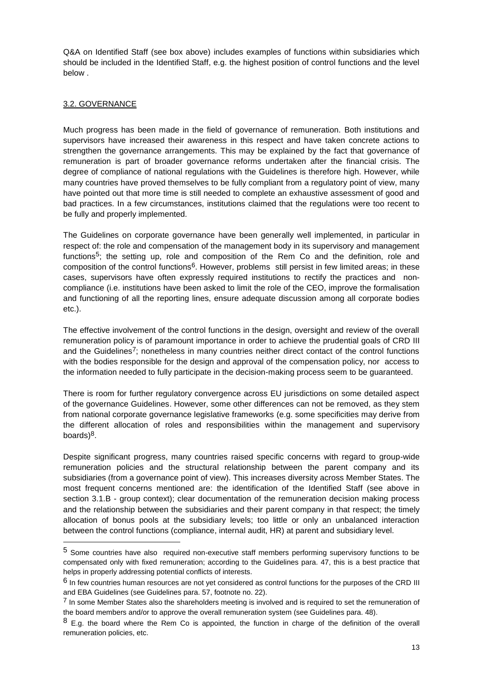Q&A on Identified Staff (see box above) includes examples of functions within subsidiaries which should be included in the Identified Staff, e.g. the highest position of control functions and the level below .

## <span id="page-12-0"></span>3.2. GOVERNANCE

-

Much progress has been made in the field of governance of remuneration. Both institutions and supervisors have increased their awareness in this respect and have taken concrete actions to strengthen the governance arrangements. This may be explained by the fact that governance of remuneration is part of broader governance reforms undertaken after the financial crisis. The degree of compliance of national regulations with the Guidelines is therefore high. However, while many countries have proved themselves to be fully compliant from a regulatory point of view, many have pointed out that more time is still needed to complete an exhaustive assessment of good and bad practices. In a few circumstances, institutions claimed that the regulations were too recent to be fully and properly implemented.

The Guidelines on corporate governance have been generally well implemented, in particular in respect of: the role and compensation of the management body in its supervisory and management functions<sup>5</sup>; the setting up, role and composition of the Rem Co and the definition, role and composition of the control functions<sup>6</sup>. However, problems still persist in few limited areas; in these cases, supervisors have often expressly required institutions to rectify the practices and noncompliance (i.e. institutions have been asked to limit the role of the CEO, improve the formalisation and functioning of all the reporting lines, ensure adequate discussion among all corporate bodies etc.).

The effective involvement of the control functions in the design, oversight and review of the overall remuneration policy is of paramount importance in order to achieve the prudential goals of CRD III and the Guidelines<sup>7</sup>; nonetheless in many countries neither direct contact of the control functions with the bodies responsible for the design and approval of the compensation policy, nor access to the information needed to fully participate in the decision-making process seem to be guaranteed.

There is room for further regulatory convergence across EU jurisdictions on some detailed aspect of the governance Guidelines. However, some other differences can not be removed, as they stem from national corporate governance legislative frameworks (e.g. some specificities may derive from the different allocation of roles and responsibilities within the management and supervisory boards) 8.

Despite significant progress, many countries raised specific concerns with regard to group-wide remuneration policies and the structural relationship between the parent company and its subsidiaries (from a governance point of view). This increases diversity across Member States. The most frequent concerns mentioned are: the identification of the Identified Staff (see above in section 3.1.B - group context); clear documentation of the remuneration decision making process and the relationship between the subsidiaries and their parent company in that respect; the timely allocation of bonus pools at the subsidiary levels; too little or only an unbalanced interaction between the control functions (compliance, internal audit, HR) at parent and subsidiary level.

<sup>5</sup> Some countries have also required non-executive staff members performing supervisory functions to be compensated only with fixed remuneration; according to the Guidelines para. 47, this is a best practice that helps in properly addressing potential conflicts of interests.

<sup>&</sup>lt;sup>6</sup> In few countries human resources are not yet considered as control functions for the purposes of the CRD III and EBA Guidelines (see Guidelines para. 57, footnote no. 22).

 $<sup>7</sup>$  In some Member States also the shareholders meeting is involved and is required to set the remuneration of</sup> the board members and/or to approve the overall remuneration system (see Guidelines para. 48).

 $8$  E.g. the board where the Rem Co is appointed, the function in charge of the definition of the overall remuneration policies, etc.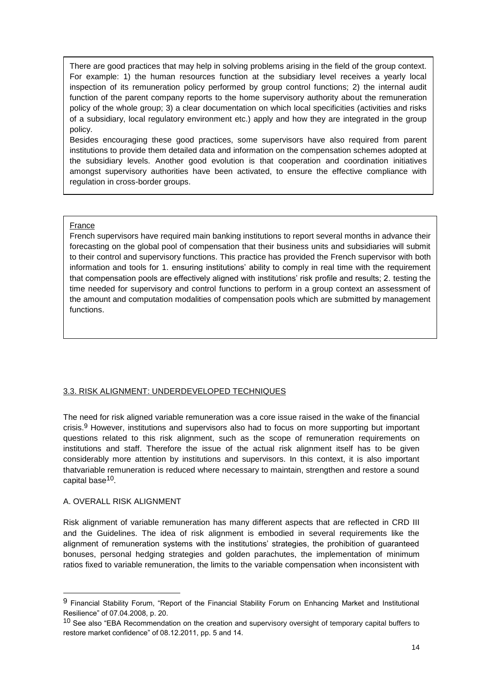There are good practices that may help in solving problems arising in the field of the group context. For example: 1) the human resources function at the subsidiary level receives a yearly local inspection of its remuneration policy performed by group control functions; 2) the internal audit function of the parent company reports to the home supervisory authority about the remuneration policy of the whole group; 3) a clear documentation on which local specificities (activities and risks of a subsidiary, local regulatory environment etc.) apply and how they are integrated in the group policy.

Besides encouraging these good practices, some supervisors have also required from parent institutions to provide them detailed data and information on the compensation schemes adopted at the subsidiary levels. Another good evolution is that cooperation and coordination initiatives amongst supervisory authorities have been activated, to ensure the effective compliance with regulation in cross-border groups.

#### France

French supervisors have required main banking institutions to report several months in advance their forecasting on the global pool of compensation that their business units and subsidiaries will submit to their control and supervisory functions. This practice has provided the French supervisor with both information and tools for 1. ensuring institutions' ability to comply in real time with the requirement that compensation pools are effectively aligned with institutions' risk profile and results; 2. testing the time needed for supervisory and control functions to perform in a group context an assessment of the amount and computation modalities of compensation pools which are submitted by management functions.

#### <span id="page-13-0"></span>3.3. RISK ALIGNMENT: UNDERDEVELOPED TECHNIQUES

The need for risk aligned variable remuneration was a core issue raised in the wake of the financial crisis.9 However, institutions and supervisors also had to focus on more supporting but important questions related to this risk alignment, such as the scope of remuneration requirements on institutions and staff. Therefore the issue of the actual risk alignment itself has to be given considerably more attention by institutions and supervisors. In this context, it is also important thatvariable remuneration is reduced where necessary to maintain, strengthen and restore a sound capital base<sup>10</sup>.

#### <span id="page-13-1"></span>A. OVERALL RISK ALIGNMENT

-

Risk alignment of variable remuneration has many different aspects that are reflected in CRD III and the Guidelines. The idea of risk alignment is embodied in several requirements like the alignment of remuneration systems with the institutions' strategies, the prohibition of guaranteed bonuses, personal hedging strategies and golden parachutes, the implementation of minimum ratios fixed to variable remuneration, the limits to the variable compensation when inconsistent with

<sup>9</sup> Financial Stability Forum, "Report of the Financial Stability Forum on Enhancing Market and Institutional Resilience" of 07.04.2008, p. 20.

<sup>&</sup>lt;sup>10</sup> See also "EBA Recommendation on the creation and supervisory oversight of temporary capital buffers to restore market confidence" of 08.12.2011, pp. 5 and 14.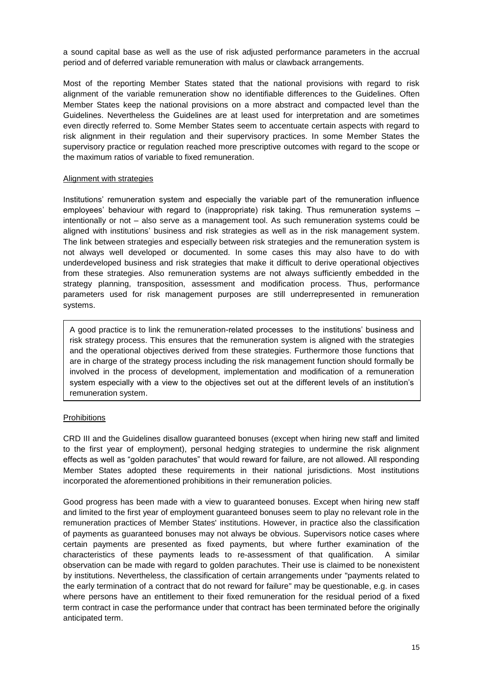a sound capital base as well as the use of risk adjusted performance parameters in the accrual period and of deferred variable remuneration with malus or clawback arrangements.

Most of the reporting Member States stated that the national provisions with regard to risk alignment of the variable remuneration show no identifiable differences to the Guidelines. Often Member States keep the national provisions on a more abstract and compacted level than the Guidelines. Nevertheless the Guidelines are at least used for interpretation and are sometimes even directly referred to. Some Member States seem to accentuate certain aspects with regard to risk alignment in their regulation and their supervisory practices. In some Member States the supervisory practice or regulation reached more prescriptive outcomes with regard to the scope or the maximum ratios of variable to fixed remuneration.

#### <span id="page-14-0"></span>Alignment with strategies

Institutions' remuneration system and especially the variable part of the remuneration influence employees' behaviour with regard to (inappropriate) risk taking. Thus remuneration systems – intentionally or not – also serve as a management tool. As such remuneration systems could be aligned with institutions' business and risk strategies as well as in the risk management system. The link between strategies and especially between risk strategies and the remuneration system is not always well developed or documented. In some cases this may also have to do with underdeveloped business and risk strategies that make it difficult to derive operational objectives from these strategies. Also remuneration systems are not always sufficiently embedded in the strategy planning, transposition, assessment and modification process. Thus, performance parameters used for risk management purposes are still underrepresented in remuneration systems.

A good practice is to link the remuneration-related processes to the institutions' business and risk strategy process. This ensures that the remuneration system is aligned with the strategies and the operational objectives derived from these strategies. Furthermore those functions that are in charge of the strategy process including the risk management function should formally be involved in the process of development, implementation and modification of a remuneration system especially with a view to the objectives set out at the different levels of an institution's remuneration system.

#### <span id="page-14-1"></span>**Prohibitions**

CRD III and the Guidelines disallow guaranteed bonuses (except when hiring new staff and limited to the first year of employment), personal hedging strategies to undermine the risk alignment effects as well as "golden parachutes" that would reward for failure, are not allowed. All responding Member States adopted these requirements in their national jurisdictions. Most institutions incorporated the aforementioned prohibitions in their remuneration policies.

Good progress has been made with a view to guaranteed bonuses. Except when hiring new staff and limited to the first year of employment guaranteed bonuses seem to play no relevant role in the remuneration practices of Member States' institutions. However, in practice also the classification of payments as guaranteed bonuses may not always be obvious. Supervisors notice cases where certain payments are presented as fixed payments, but where further examination of the characteristics of these payments leads to re-assessment of that qualification. A similar observation can be made with regard to golden parachutes. Their use is claimed to be nonexistent by institutions. Nevertheless, the classification of certain arrangements under "payments related to the early termination of a contract that do not reward for failure" may be questionable, e.g. in cases where persons have an entitlement to their fixed remuneration for the residual period of a fixed term contract in case the performance under that contract has been terminated before the originally anticipated term.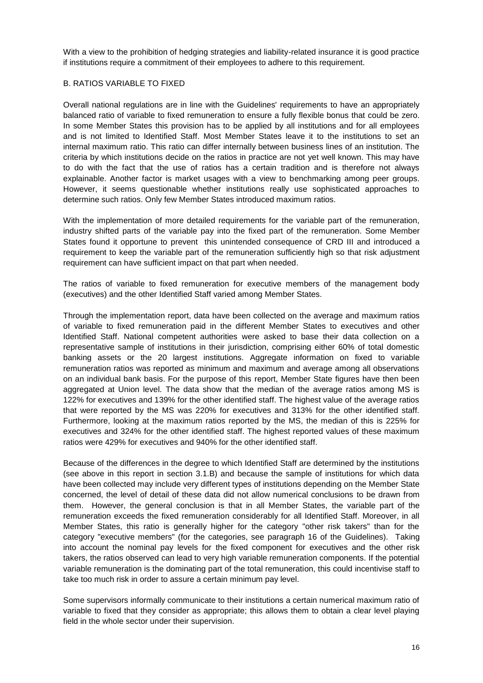With a view to the prohibition of hedging strategies and liability-related insurance it is good practice if institutions require a commitment of their employees to adhere to this requirement.

#### <span id="page-15-0"></span>B. RATIOS VARIABLE TO FIXED

Overall national regulations are in line with the Guidelines' requirements to have an appropriately balanced ratio of variable to fixed remuneration to ensure a fully flexible bonus that could be zero. In some Member States this provision has to be applied by all institutions and for all employees and is not limited to Identified Staff. Most Member States leave it to the institutions to set an internal maximum ratio. This ratio can differ internally between business lines of an institution. The criteria by which institutions decide on the ratios in practice are not yet well known. This may have to do with the fact that the use of ratios has a certain tradition and is therefore not always explainable. Another factor is market usages with a view to benchmarking among peer groups. However, it seems questionable whether institutions really use sophisticated approaches to determine such ratios. Only few Member States introduced maximum ratios.

With the implementation of more detailed requirements for the variable part of the remuneration, industry shifted parts of the variable pay into the fixed part of the remuneration. Some Member States found it opportune to prevent this unintended consequence of CRD III and introduced a requirement to keep the variable part of the remuneration sufficiently high so that risk adjustment requirement can have sufficient impact on that part when needed.

The ratios of variable to fixed remuneration for executive members of the management body (executives) and the other Identified Staff varied among Member States.

Through the implementation report, data have been collected on the average and maximum ratios of variable to fixed remuneration paid in the different Member States to executives and other Identified Staff. National competent authorities were asked to base their data collection on a representative sample of institutions in their jurisdiction, comprising either 60% of total domestic banking assets or the 20 largest institutions. Aggregate information on fixed to variable remuneration ratios was reported as minimum and maximum and average among all observations on an individual bank basis. For the purpose of this report, Member State figures have then been aggregated at Union level. The data show that the median of the average ratios among MS is 122% for executives and 139% for the other identified staff. The highest value of the average ratios that were reported by the MS was 220% for executives and 313% for the other identified staff. Furthermore, looking at the maximum ratios reported by the MS, the median of this is 225% for executives and 324% for the other identified staff. The highest reported values of these maximum ratios were 429% for executives and 940% for the other identified staff.

Because of the differences in the degree to which Identified Staff are determined by the institutions (see above in this report in section 3.1.B) and because the sample of institutions for which data have been collected may include very different types of institutions depending on the Member State concerned, the level of detail of these data did not allow numerical conclusions to be drawn from them. However, the general conclusion is that in all Member States, the variable part of the remuneration exceeds the fixed remuneration considerably for all Identified Staff. Moreover, in all Member States, this ratio is generally higher for the category "other risk takers" than for the category "executive members" (for the categories, see paragraph 16 of the Guidelines). Taking into account the nominal pay levels for the fixed component for executives and the other risk takers, the ratios observed can lead to very high variable remuneration components. If the potential variable remuneration is the dominating part of the total remuneration, this could incentivise staff to take too much risk in order to assure a certain minimum pay level.

Some supervisors informally communicate to their institutions a certain numerical maximum ratio of variable to fixed that they consider as appropriate; this allows them to obtain a clear level playing field in the whole sector under their supervision.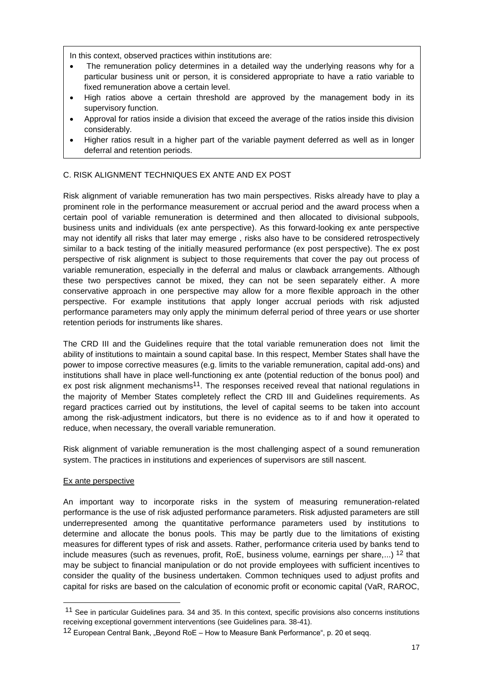In this context, observed practices within institutions are:

- The remuneration policy determines in a detailed way the underlying reasons why for a particular business unit or person, it is considered appropriate to have a ratio variable to fixed remuneration above a certain level.
- High ratios above a certain threshold are approved by the management body in its supervisory function.
- Approval for ratios inside a division that exceed the average of the ratios inside this division considerably.
- Higher ratios result in a higher part of the variable payment deferred as well as in longer deferral and retention periods.

#### <span id="page-16-0"></span>C. RISK ALIGNMENT TECHNIQUES EX ANTE AND EX POST

Risk alignment of variable remuneration has two main perspectives. Risks already have to play a prominent role in the performance measurement or accrual period and the award process when a certain pool of variable remuneration is determined and then allocated to divisional subpools, business units and individuals (ex ante perspective). As this forward-looking ex ante perspective may not identify all risks that later may emerge , risks also have to be considered retrospectively similar to a back testing of the initially measured performance (ex post perspective). The ex post perspective of risk alignment is subject to those requirements that cover the pay out process of variable remuneration, especially in the deferral and malus or clawback arrangements. Although these two perspectives cannot be mixed, they can not be seen separately either. A more conservative approach in one perspective may allow for a more flexible approach in the other perspective. For example institutions that apply longer accrual periods with risk adjusted performance parameters may only apply the minimum deferral period of three years or use shorter retention periods for instruments like shares.

The CRD III and the Guidelines require that the total variable remuneration does not limit the ability of institutions to maintain a sound capital base. In this respect, Member States shall have the power to impose corrective measures (e.g. limits to the variable remuneration, capital add-ons) and institutions shall have in place well-functioning ex ante (potential reduction of the bonus pool) and ex post risk alignment mechanisms<sup>11</sup>. The responses received reveal that national regulations in the majority of Member States completely reflect the CRD III and Guidelines requirements. As regard practices carried out by institutions, the level of capital seems to be taken into account among the risk-adjustment indicators, but there is no evidence as to if and how it operated to reduce, when necessary, the overall variable remuneration.

Risk alignment of variable remuneration is the most challenging aspect of a sound remuneration system. The practices in institutions and experiences of supervisors are still nascent.

#### <span id="page-16-1"></span>Ex ante perspective

-

An important way to incorporate risks in the system of measuring remuneration-related performance is the use of risk adjusted performance parameters. Risk adjusted parameters are still underrepresented among the quantitative performance parameters used by institutions to determine and allocate the bonus pools. This may be partly due to the limitations of existing measures for different types of risk and assets. Rather, performance criteria used by banks tend to include measures (such as revenues, profit, RoE, business volume, earnings per share,...) 12 that may be subject to financial manipulation or do not provide employees with sufficient incentives to consider the quality of the business undertaken. Common techniques used to adjust profits and capital for risks are based on the calculation of economic profit or economic capital (VaR, RAROC,

<sup>&</sup>lt;sup>11</sup> See in particular Guidelines para. 34 and 35. In this context, specific provisions also concerns institutions receiving exceptional government interventions (see Guidelines para. 38-41).

<sup>12</sup> European Central Bank, "Beyond RoE – How to Measure Bank Performance", p. 20 et seqq.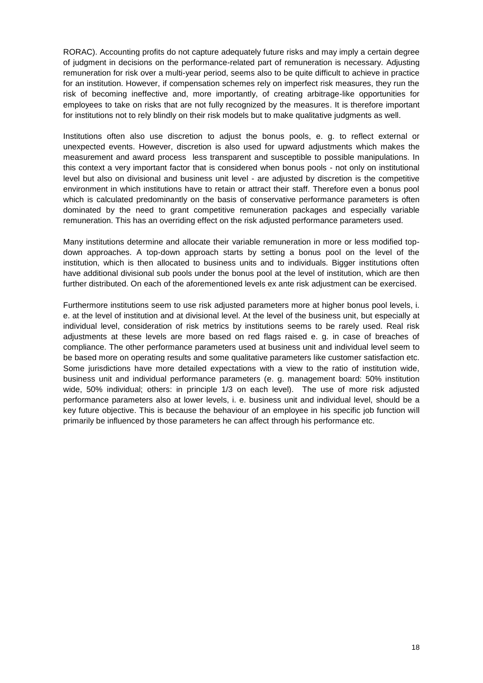RORAC). Accounting profits do not capture adequately future risks and may imply a certain degree of judgment in decisions on the performance-related part of remuneration is necessary. Adjusting remuneration for risk over a multi-year period, seems also to be quite difficult to achieve in practice for an institution. However, if compensation schemes rely on imperfect risk measures, they run the risk of becoming ineffective and, more importantly, of creating arbitrage-like opportunities for employees to take on risks that are not fully recognized by the measures. It is therefore important for institutions not to rely blindly on their risk models but to make qualitative judgments as well.

Institutions often also use discretion to adjust the bonus pools, e. g. to reflect external or unexpected events. However, discretion is also used for upward adjustments which makes the measurement and award process less transparent and susceptible to possible manipulations. In this context a very important factor that is considered when bonus pools - not only on institutional level but also on divisional and business unit level - are adjusted by discretion is the competitive environment in which institutions have to retain or attract their staff. Therefore even a bonus pool which is calculated predominantly on the basis of conservative performance parameters is often dominated by the need to grant competitive remuneration packages and especially variable remuneration. This has an overriding effect on the risk adjusted performance parameters used.

Many institutions determine and allocate their variable remuneration in more or less modified topdown approaches. A top-down approach starts by setting a bonus pool on the level of the institution, which is then allocated to business units and to individuals. Bigger institutions often have additional divisional sub pools under the bonus pool at the level of institution, which are then further distributed. On each of the aforementioned levels ex ante risk adjustment can be exercised.

Furthermore institutions seem to use risk adjusted parameters more at higher bonus pool levels, i. e. at the level of institution and at divisional level. At the level of the business unit, but especially at individual level, consideration of risk metrics by institutions seems to be rarely used. Real risk adjustments at these levels are more based on red flags raised e. g. in case of breaches of compliance. The other performance parameters used at business unit and individual level seem to be based more on operating results and some qualitative parameters like customer satisfaction etc. Some jurisdictions have more detailed expectations with a view to the ratio of institution wide, business unit and individual performance parameters (e. g. management board: 50% institution wide, 50% individual; others: in principle 1/3 on each level). The use of more risk adjusted performance parameters also at lower levels, i. e. business unit and individual level, should be a key future objective. This is because the behaviour of an employee in his specific job function will primarily be influenced by those parameters he can affect through his performance etc.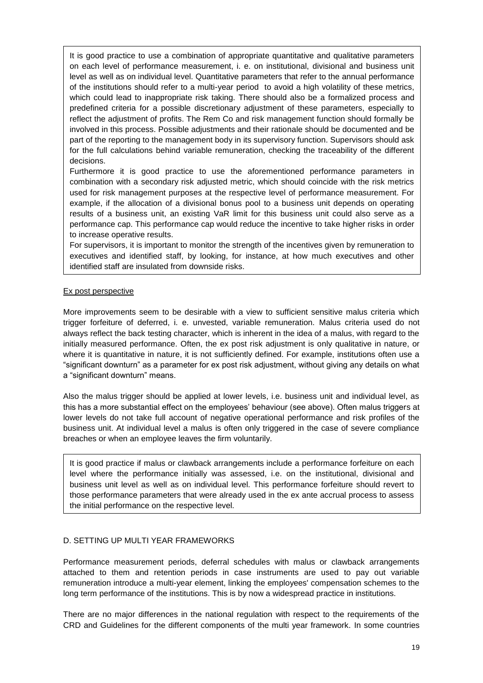It is good practice to use a combination of appropriate quantitative and qualitative parameters on each level of performance measurement, i. e. on institutional, divisional and business unit level as well as on individual level. Quantitative parameters that refer to the annual performance of the institutions should refer to a multi-year period to avoid a high volatility of these metrics, which could lead to inappropriate risk taking. There should also be a formalized process and predefined criteria for a possible discretionary adjustment of these parameters, especially to reflect the adjustment of profits. The Rem Co and risk management function should formally be involved in this process. Possible adjustments and their rationale should be documented and be part of the reporting to the management body in its supervisory function. Supervisors should ask for the full calculations behind variable remuneration, checking the traceability of the different decisions.

Furthermore it is good practice to use the aforementioned performance parameters in combination with a secondary risk adjusted metric, which should coincide with the risk metrics used for risk management purposes at the respective level of performance measurement. For example, if the allocation of a divisional bonus pool to a business unit depends on operating results of a business unit, an existing VaR limit for this business unit could also serve as a performance cap. This performance cap would reduce the incentive to take higher risks in order to increase operative results.

For supervisors, it is important to monitor the strength of the incentives given by remuneration to executives and identified staff, by looking, for instance, at how much executives and other identified staff are insulated from downside risks.

## <span id="page-18-0"></span>Ex post perspective

More improvements seem to be desirable with a view to sufficient sensitive malus criteria which trigger forfeiture of deferred, i. e. unvested, variable remuneration. Malus criteria used do not always reflect the back testing character, which is inherent in the idea of a malus, with regard to the initially measured performance. Often, the ex post risk adjustment is only qualitative in nature, or where it is quantitative in nature, it is not sufficiently defined. For example, institutions often use a "significant downturn" as a parameter for ex post risk adjustment, without giving any details on what a "significant downturn" means.

Also the malus trigger should be applied at lower levels, i.e. business unit and individual level, as this has a more substantial effect on the employees' behaviour (see above). Often malus triggers at lower levels do not take full account of negative operational performance and risk profiles of the business unit. At individual level a malus is often only triggered in the case of severe compliance breaches or when an employee leaves the firm voluntarily.

It is good practice if malus or clawback arrangements include a performance forfeiture on each level where the performance initially was assessed, i.e. on the institutional, divisional and business unit level as well as on individual level. This performance forfeiture should revert to those performance parameters that were already used in the ex ante accrual process to assess the initial performance on the respective level.

## <span id="page-18-1"></span>D. SETTING UP MULTI YEAR FRAMEWORKS

Performance measurement periods, deferral schedules with malus or clawback arrangements attached to them and retention periods in case instruments are used to pay out variable remuneration introduce a multi-year element, linking the employees' compensation schemes to the long term performance of the institutions. This is by now a widespread practice in institutions.

There are no major differences in the national regulation with respect to the requirements of the CRD and Guidelines for the different components of the multi year framework. In some countries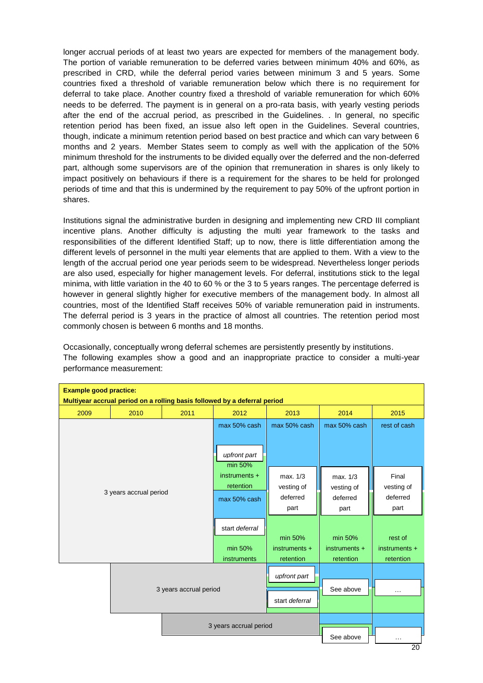longer accrual periods of at least two years are expected for members of the management body. The portion of variable remuneration to be deferred varies between minimum 40% and 60%, as prescribed in CRD, while the deferral period varies between minimum 3 and 5 years. Some countries fixed a threshold of variable remuneration below which there is no requirement for deferral to take place. Another country fixed a threshold of variable remuneration for which 60% needs to be deferred. The payment is in general on a pro-rata basis, with yearly vesting periods after the end of the accrual period, as prescribed in the Guidelines. . In general, no specific retention period has been fixed, an issue also left open in the Guidelines. Several countries, though, indicate a minimum retention period based on best practice and which can vary between 6 months and 2 years. Member States seem to comply as well with the application of the 50% minimum threshold for the instruments to be divided equally over the deferred and the non-deferred part, although some supervisors are of the opinion that rremuneration in shares is only likely to impact positively on behaviours if there is a requirement for the shares to be held for prolonged periods of time and that this is undermined by the requirement to pay 50% of the upfront portion in shares.

Institutions signal the administrative burden in designing and implementing new CRD III compliant incentive plans. Another difficulty is adjusting the multi year framework to the tasks and responsibilities of the different Identified Staff; up to now, there is little differentiation among the different levels of personnel in the multi year elements that are applied to them. With a view to the length of the accrual period one year periods seem to be widespread. Nevertheless longer periods are also used, especially for higher management levels. For deferral, institutions stick to the legal minima, with little variation in the 40 to 60 % or the 3 to 5 years ranges. The percentage deferred is however in general slightly higher for executive members of the management body. In almost all countries, most of the Identified Staff receives 50% of variable remuneration paid in instruments. The deferral period is 3 years in the practice of almost all countries. The retention period most commonly chosen is between 6 months and 18 months.

Occasionally, conceptually wrong deferral schemes are persistently presently by institutions. The following examples show a good and an inappropriate practice to consider a multi-year performance measurement:

| <b>Example good practice:</b><br>Multiyear accrual period on a rolling basis followed by a deferral period |                        |              |                         |                 |                 |                      |  |
|------------------------------------------------------------------------------------------------------------|------------------------|--------------|-------------------------|-----------------|-----------------|----------------------|--|
| 2009                                                                                                       | 2010                   | 2011         | 2012                    | 2013            | 2014            | 2015                 |  |
|                                                                                                            |                        | max 50% cash | max 50% cash            | max 50% cash    | rest of cash    |                      |  |
|                                                                                                            |                        |              | upfront part<br>min 50% |                 |                 |                      |  |
|                                                                                                            | 3 years accrual period |              |                         | max. 1/3        | max. 1/3        | Final                |  |
|                                                                                                            |                        |              |                         | vesting of      | vesting of      | vesting of           |  |
|                                                                                                            |                        |              |                         | deferred        | deferred        | deferred             |  |
|                                                                                                            |                        |              | part                    | part            | part            |                      |  |
|                                                                                                            |                        |              | start deferral          | min 50%         | min 50%         | rest of              |  |
|                                                                                                            |                        |              | min 50%                 | $instruments +$ | $instruments +$ | $instruments +$      |  |
|                                                                                                            |                        |              | instruments             | retention       | retention       | retention            |  |
| 3 years accrual period                                                                                     |                        |              | upfront part            |                 |                 |                      |  |
|                                                                                                            |                        |              |                         |                 | See above       | $\sim$ $\sim$ $\sim$ |  |
|                                                                                                            |                        |              |                         | start deferral  |                 |                      |  |
| 3 years accrual period                                                                                     |                        |              |                         |                 |                 |                      |  |
|                                                                                                            |                        |              | See above               | $\cdots$<br>20  |                 |                      |  |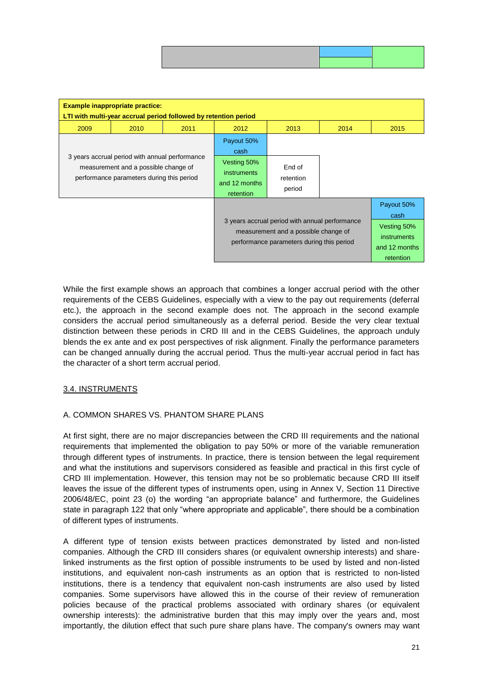| <b>Example inappropriate practice:</b><br>LTI with multi-year accrual period followed by retention period                           |      |      |                                                                                                                                     |                               |                                                                                       |      |  |  |
|-------------------------------------------------------------------------------------------------------------------------------------|------|------|-------------------------------------------------------------------------------------------------------------------------------------|-------------------------------|---------------------------------------------------------------------------------------|------|--|--|
| 2009                                                                                                                                | 2010 | 2011 | 2012                                                                                                                                | 2013                          | 2014                                                                                  | 2015 |  |  |
| 3 years accrual period with annual performance<br>measurement and a possible change of<br>performance parameters during this period |      |      | Payout 50%<br>cash<br>Vesting 50%<br><i>instruments</i><br>and 12 months<br>retention                                               | End of<br>retention<br>period |                                                                                       |      |  |  |
|                                                                                                                                     |      |      | 3 years accrual period with annual performance<br>measurement and a possible change of<br>performance parameters during this period |                               | Payout 50%<br>cash<br>Vesting 50%<br><i>instruments</i><br>and 12 months<br>retention |      |  |  |

While the first example shows an approach that combines a longer accrual period with the other requirements of the CEBS Guidelines, especially with a view to the pay out requirements (deferral etc.), the approach in the second example does not. The approach in the second example considers the accrual period simultaneously as a deferral period. Beside the very clear textual distinction between these periods in CRD III and in the CEBS Guidelines, the approach unduly blends the ex ante and ex post perspectives of risk alignment. Finally the performance parameters can be changed annually during the accrual period. Thus the multi-year accrual period in fact has the character of a short term accrual period.

## <span id="page-20-0"></span>3.4. INSTRUMENTS

## <span id="page-20-1"></span>A. COMMON SHARES VS. PHANTOM SHARE PLANS

At first sight, there are no major discrepancies between the CRD III requirements and the national requirements that implemented the obligation to pay 50% or more of the variable remuneration through different types of instruments. In practice, there is tension between the legal requirement and what the institutions and supervisors considered as feasible and practical in this first cycle of CRD III implementation. However, this tension may not be so problematic because CRD III itself leaves the issue of the different types of instruments open, using in Annex V, Section 11 Directive 2006/48/EC, point 23 (o) the wording "an appropriate balance" and furthermore, the Guidelines state in paragraph 122 that only "where appropriate and applicable", there should be a combination of different types of instruments.

A different type of tension exists between practices demonstrated by listed and non-listed companies. Although the CRD III considers shares (or equivalent ownership interests) and sharelinked instruments as the first option of possible instruments to be used by listed and non-listed institutions, and equivalent non-cash instruments as an option that is restricted to non-listed institutions, there is a tendency that equivalent non-cash instruments are also used by listed companies. Some supervisors have allowed this in the course of their review of remuneration policies because of the practical problems associated with ordinary shares (or equivalent ownership interests): the administrative burden that this may imply over the years and, most importantly, the dilution effect that such pure share plans have. The company's owners may want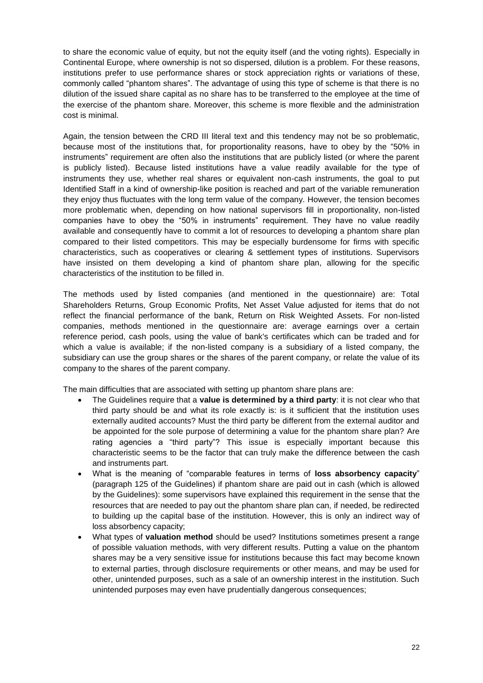to share the economic value of equity, but not the equity itself (and the voting rights). Especially in Continental Europe, where ownership is not so dispersed, dilution is a problem. For these reasons, institutions prefer to use performance shares or stock appreciation rights or variations of these, commonly called "phantom shares". The advantage of using this type of scheme is that there is no dilution of the issued share capital as no share has to be transferred to the employee at the time of the exercise of the phantom share. Moreover, this scheme is more flexible and the administration cost is minimal.

Again, the tension between the CRD III literal text and this tendency may not be so problematic, because most of the institutions that, for proportionality reasons, have to obey by the "50% in instruments" requirement are often also the institutions that are publicly listed (or where the parent is publicly listed). Because listed institutions have a value readily available for the type of instruments they use, whether real shares or equivalent non-cash instruments, the goal to put Identified Staff in a kind of ownership-like position is reached and part of the variable remuneration they enjoy thus fluctuates with the long term value of the company. However, the tension becomes more problematic when, depending on how national supervisors fill in proportionality, non-listed companies have to obey the "50% in instruments" requirement. They have no value readily available and consequently have to commit a lot of resources to developing a phantom share plan compared to their listed competitors. This may be especially burdensome for firms with specific characteristics, such as cooperatives or clearing & settlement types of institutions. Supervisors have insisted on them developing a kind of phantom share plan, allowing for the specific characteristics of the institution to be filled in.

The methods used by listed companies (and mentioned in the questionnaire) are: Total Shareholders Returns, Group Economic Profits, Net Asset Value adjusted for items that do not reflect the financial performance of the bank, Return on Risk Weighted Assets. For non-listed companies, methods mentioned in the questionnaire are: average earnings over a certain reference period, cash pools, using the value of bank's certificates which can be traded and for which a value is available; if the non-listed company is a subsidiary of a listed company, the subsidiary can use the group shares or the shares of the parent company, or relate the value of its company to the shares of the parent company.

The main difficulties that are associated with setting up phantom share plans are:

- The Guidelines require that a **value is determined by a third party**: it is not clear who that third party should be and what its role exactly is: is it sufficient that the institution uses externally audited accounts? Must the third party be different from the external auditor and be appointed for the sole purpose of determining a value for the phantom share plan? Are rating agencies a "third party"? This issue is especially important because this characteristic seems to be the factor that can truly make the difference between the cash and instruments part.
- What is the meaning of "comparable features in terms of **loss absorbency capacity**" (paragraph 125 of the Guidelines) if phantom share are paid out in cash (which is allowed by the Guidelines): some supervisors have explained this requirement in the sense that the resources that are needed to pay out the phantom share plan can, if needed, be redirected to building up the capital base of the institution. However, this is only an indirect way of loss absorbency capacity;
- What types of **valuation method** should be used? Institutions sometimes present a range of possible valuation methods, with very different results. Putting a value on the phantom shares may be a very sensitive issue for institutions because this fact may become known to external parties, through disclosure requirements or other means, and may be used for other, unintended purposes, such as a sale of an ownership interest in the institution. Such unintended purposes may even have prudentially dangerous consequences;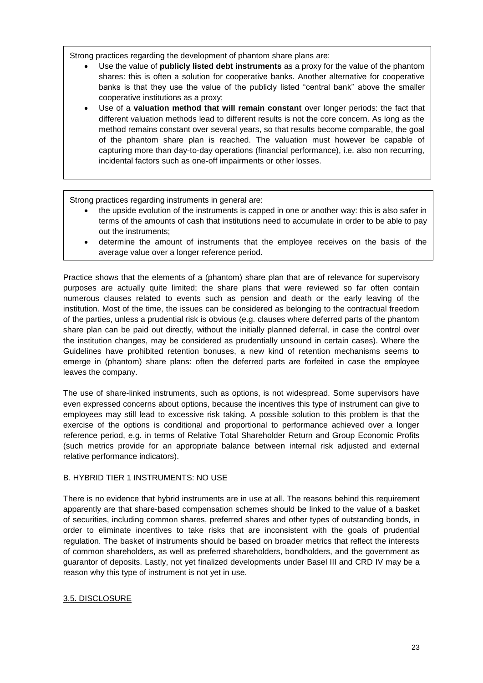Strong practices regarding the development of phantom share plans are:

- Use the value of **publicly listed debt instruments** as a proxy for the value of the phantom shares: this is often a solution for cooperative banks. Another alternative for cooperative banks is that they use the value of the publicly listed "central bank" above the smaller cooperative institutions as a proxy;
- Use of a **valuation method that will remain constant** over longer periods: the fact that different valuation methods lead to different results is not the core concern. As long as the method remains constant over several years, so that results become comparable, the goal of the phantom share plan is reached. The valuation must however be capable of capturing more than day-to-day operations (financial performance), i.e. also non recurring, incidental factors such as one-off impairments or other losses.

Strong practices regarding instruments in general are:

- the upside evolution of the instruments is capped in one or another way: this is also safer in terms of the amounts of cash that institutions need to accumulate in order to be able to pay out the instruments;
- determine the amount of instruments that the employee receives on the basis of the average value over a longer reference period.

Practice shows that the elements of a (phantom) share plan that are of relevance for supervisory purposes are actually quite limited; the share plans that were reviewed so far often contain numerous clauses related to events such as pension and death or the early leaving of the institution. Most of the time, the issues can be considered as belonging to the contractual freedom of the parties, unless a prudential risk is obvious (e.g. clauses where deferred parts of the phantom share plan can be paid out directly, without the initially planned deferral, in case the control over the institution changes, may be considered as prudentially unsound in certain cases). Where the Guidelines have prohibited retention bonuses, a new kind of retention mechanisms seems to emerge in (phantom) share plans: often the deferred parts are forfeited in case the employee leaves the company.

The use of share-linked instruments, such as options, is not widespread. Some supervisors have even expressed concerns about options, because the incentives this type of instrument can give to employees may still lead to excessive risk taking. A possible solution to this problem is that the exercise of the options is conditional and proportional to performance achieved over a longer reference period, e.g. in terms of Relative Total Shareholder Return and Group Economic Profits (such metrics provide for an appropriate balance between internal risk adjusted and external relative performance indicators).

## <span id="page-22-0"></span>B. HYBRID TIER 1 INSTRUMENTS: NO USE

There is no evidence that hybrid instruments are in use at all. The reasons behind this requirement apparently are that share-based compensation schemes should be linked to the value of a basket of securities, including common shares, preferred shares and other types of outstanding bonds, in order to eliminate incentives to take risks that are inconsistent with the goals of prudential regulation. The basket of instruments should be based on broader metrics that reflect the interests of common shareholders, as well as preferred shareholders, bondholders, and the government as guarantor of deposits. Lastly, not yet finalized developments under Basel III and CRD IV may be a reason why this type of instrument is not yet in use.

## <span id="page-22-1"></span>3.5. DISCLOSURE